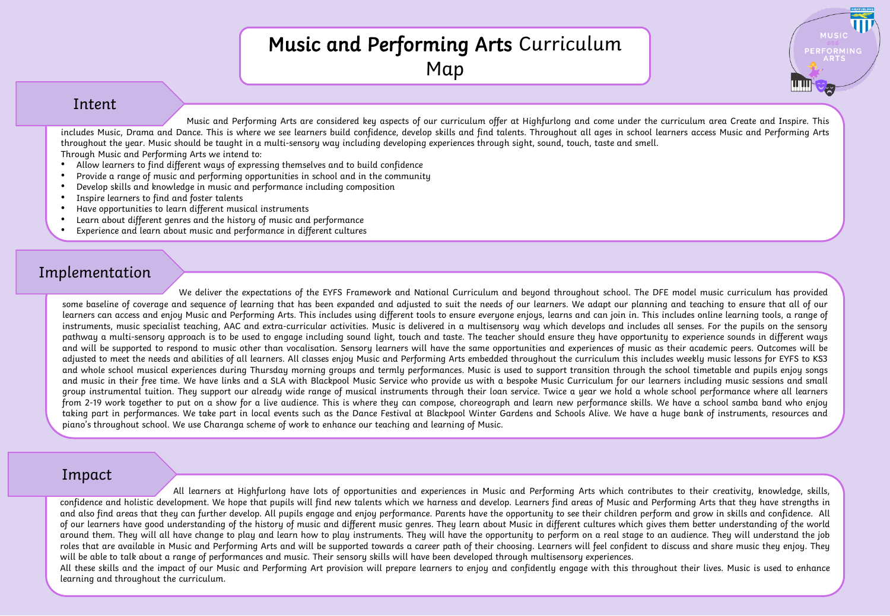## Music and Performing Arts Curriculum Map

## Intent

Music and Performing Arts are considered key aspects of our curriculum offer at Highfurlong and come under the curriculum area Create and Inspire. This includes Music, Drama and Dance. This is where we see learners build confidence, develop skills and find talents. Throughout all ages in school learners access Music and Performing Arts throughout the year. Music should be taught in a multi-sensory way including developing experiences through sight, sound, touch, taste and smell. Through Music and Performing Arts we intend to:

- Allow learners to find different ways of expressing themselves and to build confidence
- Provide a range of music and performing opportunities in school and in the community
- Develop skills and knowledge in music and performance including composition
- Inspire learners to find and foster talents
- Have opportunities to learn different musical instruments
- Learn about different genres and the history of music and performance
- Experience and learn about music and performance in different cultures

## Implementation

We deliver the expectations of the EYFS Framework and National Curriculum and beyond throughout school. The DFE model music curriculum has provided some baseline of coverage and sequence of learning that has been expanded and adjusted to suit the needs of our learners. We adapt our planning and teaching to ensure that all of our learners can access and enjoy Music and Performing Arts. This includes using different tools to ensure everyone enjoys, learns and can join in. This includes online learning tools, a range of instruments, music specialist teaching, AAC and extra-curricular activities. Music is delivered in a multisensory way which develops and includes all senses. For the pupils on the sensory pathway a multi-sensory approach is to be used to engage including sound light, touch and taste. The teacher should ensure they have opportunity to experience sounds in different ways and will be supported to respond to music other than vocalisation. Sensory learners will have the same opportunities and experiences of music as their academic peers. Outcomes will be adjusted to meet the needs and abilities of all learners. All classes enjoy Music and Performing Arts embedded throughout the curriculum this includes weekly music lessons for EYFS to KS3 and whole school musical experiences during Thursday morning groups and termly performances. Music is used to support transition through the school timetable and pupils enjoy songs and music in their free time. We have links and a SLA with Blackpool Music Service who provide us with a bespoke Music Curriculum for our learners including music sessions and small group instrumental tuition. They support our already wide range of musical instruments through their loan service. Twice a year we hold a whole school performance where all learners from 2-19 work together to put on a show for a live audience. This is where they can compose, choreograph and learn new performance skills. We have a school samba band who enjoy taking part in performances. We take part in local events such as the Dance Festival at Blackpool Winter Gardens and Schools Alive. We have a huge bank of instruments, resources and piano's throughout school. We use Charanga scheme of work to enhance our teaching and learning of Music.

## Impact

All learners at Highfurlong have lots of opportunities and experiences in Music and Performing Arts which contributes to their creativity, knowledge, skills, confidence and holistic development. We hope that pupils will find new talents which we harness and develop. Learners find areas of Music and Performing Arts that they have strengths in and also find areas that they can further develop. All pupils engage and enjoy performance. Parents have the opportunity to see their children perform and grow in skills and confidence. All of our learners have good understanding of the history of music and different music genres. They learn about Music in different cultures which gives them better understanding of the world around them. They will all have change to play and learn how to play instruments. They will have the opportunity to perform on a real stage to an audience. They will understand the job roles that are available in Music and Performing Arts and will be supported towards a career path of their choosing. Learners will feel confident to discuss and share music they enjoy. They will be able to talk about a range of performances and music. Their sensory skills will have been developed through multisensory experiences.

All these skills and the impact of our Music and Performing Art provision will prepare learners to enjoy and confidently engage with this throughout their lives. Music is used to enhance learning and throughout the curriculum.